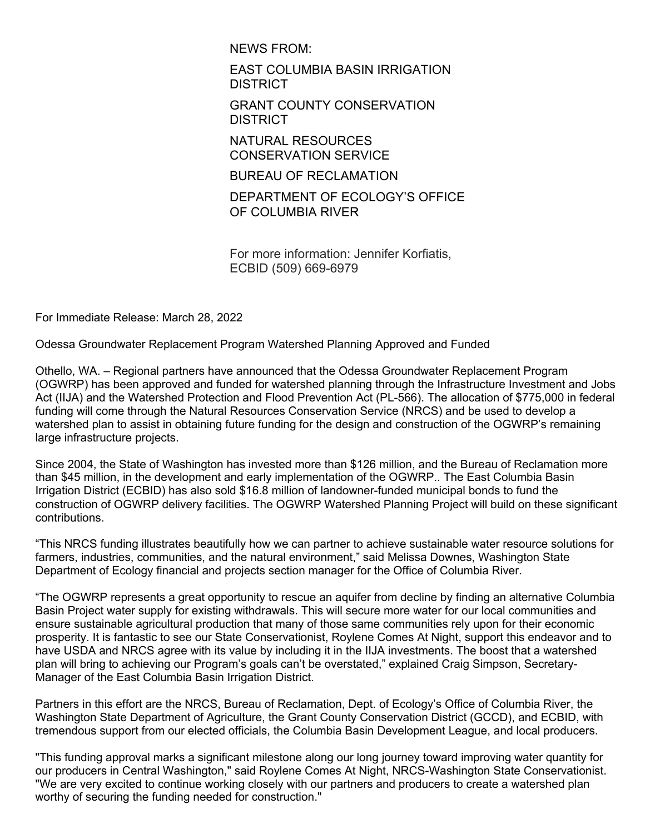NEWS FROM:

EAST COLUMBIA BASIN IRRIGATION DISTRICT

GRANT COUNTY CONSERVATION **DISTRICT** 

NATURAL RESOURCES CONSERVATION SERVICE

BUREAU OF RECLAMATION

DEPARTMENT OF ECOLOGY'S OFFICE OF COLUMBIA RIVER

For more information: Jennifer Korfiatis, ECBID (509) 669-6979

For Immediate Release: March 28, 2022

Odessa Groundwater Replacement Program Watershed Planning Approved and Funded

Othello, WA. – Regional partners have announced that the Odessa Groundwater Replacement Program (OGWRP) has been approved and funded for watershed planning through the Infrastructure Investment and Jobs Act (IIJA) and the Watershed Protection and Flood Prevention Act (PL-566). The allocation of \$775,000 in federal funding will come through the Natural Resources Conservation Service (NRCS) and be used to develop a watershed plan to assist in obtaining future funding for the design and construction of the OGWRP's remaining large infrastructure projects.

Since 2004, the State of Washington has invested more than \$126 million, and the Bureau of Reclamation more than \$45 million, in the development and early implementation of the OGWRP.. The East Columbia Basin Irrigation District (ECBID) has also sold \$16.8 million of landowner-funded municipal bonds to fund the construction of OGWRP delivery facilities. The OGWRP Watershed Planning Project will build on these significant contributions.

"This NRCS funding illustrates beautifully how we can partner to achieve sustainable water resource solutions for farmers, industries, communities, and the natural environment," said Melissa Downes, Washington State Department of Ecology financial and projects section manager for the Office of Columbia River.

"The OGWRP represents a great opportunity to rescue an aquifer from decline by finding an alternative Columbia Basin Project water supply for existing withdrawals. This will secure more water for our local communities and ensure sustainable agricultural production that many of those same communities rely upon for their economic prosperity. It is fantastic to see our State Conservationist, Roylene Comes At Night, support this endeavor and to have USDA and NRCS agree with its value by including it in the IIJA investments. The boost that a watershed plan will bring to achieving our Program's goals can't be overstated," explained Craig Simpson, Secretary-Manager of the East Columbia Basin Irrigation District.

Partners in this effort are the NRCS, Bureau of Reclamation, Dept. of Ecology's Office of Columbia River, the Washington State Department of Agriculture, the Grant County Conservation District (GCCD), and ECBID, with tremendous support from our elected officials, the Columbia Basin Development League, and local producers.

"This funding approval marks a significant milestone along our long journey toward improving water quantity for our producers in Central Washington," said Roylene Comes At Night, NRCS-Washington State Conservationist. "We are very excited to continue working closely with our partners and producers to create a watershed plan worthy of securing the funding needed for construction."